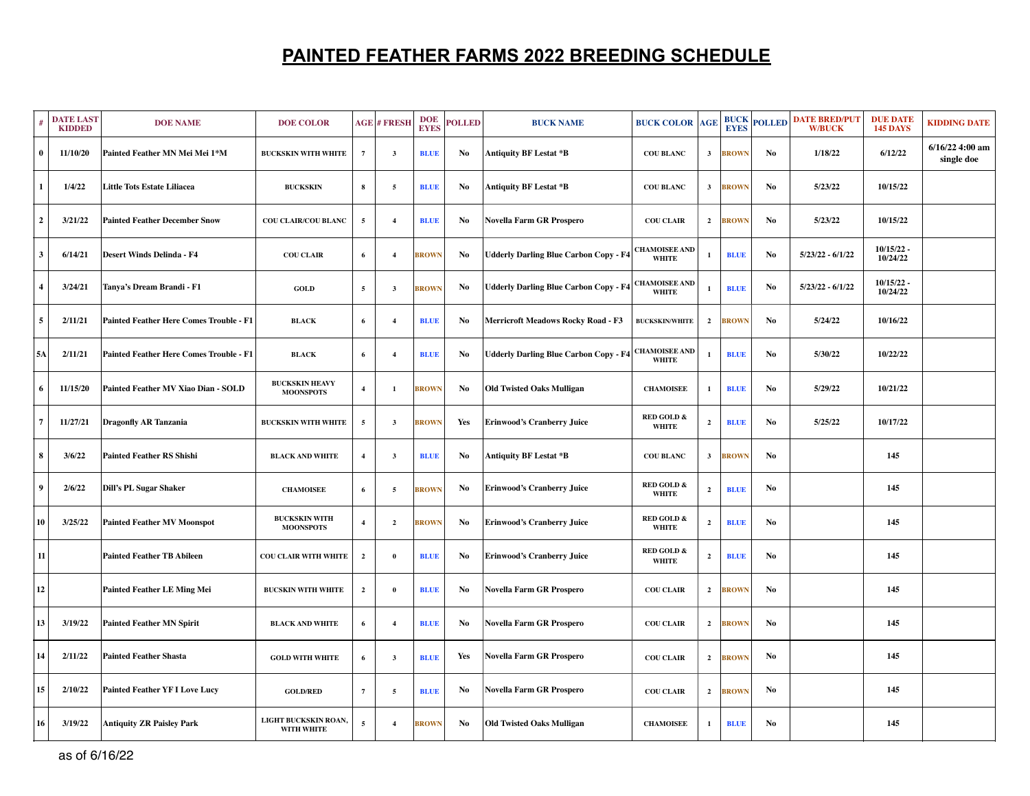## **PAINTED FEATHER FARMS 2022 BREEDING SCHEDULE**

|                | <b>DATE LAST</b><br><b>KIDDED</b> | <b>DOE NAME</b>                                | <b>DOE COLOR</b>                          |                | <b>AGE # FRESH</b> | <b>DOE</b><br><b>EYES</b> | <b>POLLED</b> | <b>BUCK NAME</b>                                      | <b>BUCK COLOR</b>                     | <b>AGE</b>              | <b>BUCK</b><br><b>EYES</b> | <b>POLLED</b>  | <b>DATE BRED/PUT</b><br><b>W/BUCK</b> | <b>DUE DATE</b><br><b>145 DAYS</b> | <b>KIDDING DATE</b>             |
|----------------|-----------------------------------|------------------------------------------------|-------------------------------------------|----------------|--------------------|---------------------------|---------------|-------------------------------------------------------|---------------------------------------|-------------------------|----------------------------|----------------|---------------------------------------|------------------------------------|---------------------------------|
| $\bf{0}$       | 11/10/20                          | Painted Feather MN Mei Mei 1*M                 | <b>BUCKSKIN WITH WHITE</b>                | $\overline{7}$ | $\mathbf{3}$       | <b>BLUE</b>               | No            | Antiquity BF Lestat *B                                | <b>COU BLANC</b>                      | $\mathbf{3}$            | <b>BROWN</b>               | No             | 1/18/22                               | 6/12/22                            | $6/16/22$ 4:00 am<br>single doe |
| $\mathbf{1}$   | 1/4/22                            | <b>Little Tots Estate Liliacea</b>             | <b>BUCKSKIN</b>                           | 8              | 5                  | <b>BLUE</b>               | No            | Antiquity BF Lestat *B                                | <b>COU BLANC</b>                      | $\mathbf{3}$            | <b>BROWN</b>               | No             | 5/23/22                               | 10/15/22                           |                                 |
| $\overline{2}$ | 3/21/22                           | <b>Painted Feather December Snow</b>           | COU CLAIR/COU BLANC                       | 5              | $\overline{4}$     | <b>BLUE</b>               | No            | Novella Farm GR Prospero                              | <b>COU CLAIR</b>                      | $\overline{2}$          | <b>BROWN</b>               | No             | 5/23/22                               | 10/15/22                           |                                 |
| $\mathbf{3}$   | 6/14/21                           | <b>Desert Winds Delinda - F4</b>               | <b>COU CLAIR</b>                          | 6              | $\overline{4}$     | <b>BROWN</b>              | No            | <b>Udderly Darling Blue Carbon Copy - F4</b>          | <b>CHAMOISEE AND</b><br><b>WHITE</b>  | 1                       | <b>BLUE</b>                | No             | $5/23/22 - 6/1/22$                    | 10/15/22<br>10/24/22               |                                 |
| $\overline{4}$ | 3/24/21                           | Tanya's Dream Brandi - F1                      | <b>GOLD</b>                               | 5              | $\mathbf{3}$       | <b>BROWN</b>              | No            | Udderly Darling Blue Carbon Copy - F4   CHAMOISEE AND | <b>WHITE</b>                          | $\mathbf{1}$            | <b>BLUE</b>                | No             | $5/23/22 - 6/1/22$                    | $10/15/22$ -<br>10/24/22           |                                 |
| $\overline{5}$ | 2/11/21                           | <b>Painted Feather Here Comes Trouble - F1</b> | <b>BLACK</b>                              | 6              | $\overline{4}$     | <b>BLUE</b>               | No            | Merricroft Meadows Rocky Road - F3                    | <b>BUCKSKIN/WHITE</b>                 | $\overline{2}$          | <b>BROWN</b>               | N <sub>0</sub> | 5/24/22                               | 10/16/22                           |                                 |
| <b>5A</b>      | 2/11/21                           | <b>Painted Feather Here Comes Trouble - F1</b> | <b>BLACK</b>                              | 6              | $\overline{4}$     | <b>BLUE</b>               | No            | Udderly Darling Blue Carbon Copy - F4   CHAMOISEE AND | <b>WHITE</b>                          | 1                       | <b>BLUE</b>                | No.            | 5/30/22                               | 10/22/22                           |                                 |
| 6              | 11/15/20                          | Painted Feather MV Xiao Dian - SOLD            | <b>BUCKSKIN HEAVY</b><br><b>MOONSPOTS</b> | $\overline{4}$ | $\mathbf{1}$       | <b>BROWN</b>              | No            | <b>Old Twisted Oaks Mulligan</b>                      | <b>CHAMOISEE</b>                      | $\mathbf{1}$            | <b>BLUE</b>                | No             | 5/29/22                               | 10/21/22                           |                                 |
| $\overline{7}$ | 11/27/21                          | <b>Dragonfly AR Tanzania</b>                   | <b>BUCKSKIN WITH WHITE</b>                | 5              | $\mathbf{3}$       | <b>BROWN</b>              | Yes           | <b>Erinwood's Cranberry Juice</b>                     | <b>RED GOLD &amp;</b><br><b>WHITE</b> | $\overline{2}$          | <b>BLUE</b>                | No             | 5/25/22                               | 10/17/22                           |                                 |
| 8              | 3/6/22                            | <b>Painted Feather RS Shishi</b>               | <b>BLACK AND WHITE</b>                    | $\overline{4}$ | $\mathbf{3}$       | <b>BLUE</b>               | No            | <b>Antiquity BF Lestat *B</b>                         | <b>COU BLANC</b>                      | $\mathbf{3}$            | <b>BROWN</b>               | No             |                                       | 145                                |                                 |
| $\overline{9}$ | 2/6/22                            | Dill's PL Sugar Shaker                         | <b>CHAMOISEE</b>                          | 6              | 5                  | <b>BROWN</b>              | No            | <b>Erinwood's Cranberry Juice</b>                     | <b>RED GOLD &amp;</b><br><b>WHITE</b> | $\overline{2}$          | <b>BLUE</b>                | No             |                                       | 145                                |                                 |
| 10             | 3/25/22                           | <b>Painted Feather MV Moonspot</b>             | <b>BUCKSKIN WITH</b><br><b>MOONSPOTS</b>  | $\overline{4}$ | $\overline{2}$     | <b>BROWN</b>              | No            | <b>Erinwood's Cranberry Juice</b>                     | <b>RED GOLD &amp;</b><br><b>WHITE</b> | $\mathbf{2}$            | <b>BLUE</b>                | No             |                                       | 145                                |                                 |
| ${\bf 11}$     |                                   | <b>Painted Feather TB Abileen</b>              | <b>COU CLAIR WITH WHITE</b>               | $\overline{2}$ | $\mathbf{0}$       | <b>BLUE</b>               | No            | <b>Erinwood's Cranberry Juice</b>                     | RED GOLD $\&$<br><b>WHITE</b>         | $\overline{2}$          | <b>BLUE</b>                | No             |                                       | 145                                |                                 |
| 12             |                                   | <b>Painted Feather LE Ming Mei</b>             | <b>BUCSKIN WITH WHITE</b>                 | $\overline{2}$ | $\bf{0}$           | <b>BLUE</b>               | No            | Novella Farm GR Prospero                              | <b>COU CLAIR</b>                      | $\overline{2}$          | <b>BROWN</b>               | No             |                                       | 145                                |                                 |
| 13             | 3/19/22                           | <b>Painted Feather MN Spirit</b>               | <b>BLACK AND WHITE</b>                    | 6              | $\overline{4}$     | <b>BLUE</b>               | No            | Novella Farm GR Prospero                              | <b>COU CLAIR</b>                      | $\overline{2}$          | <b>BROWN</b>               | No             |                                       | 145                                |                                 |
| 14             | 2/11/22                           | <b>Painted Feather Shasta</b>                  | <b>GOLD WITH WHITE</b>                    | 6              | $\mathbf{3}$       | <b>BLUE</b>               | Yes           | Novella Farm GR Prospero                              | <b>COU CLAIR</b>                      | $\overline{\mathbf{2}}$ | <b>BROWN</b>               | No             |                                       | 145                                |                                 |
| 15             | 2/10/22                           | <b>Painted Feather YF I Love Lucy</b>          | <b>GOLD/RED</b>                           | $\overline{7}$ | 5                  | <b>BLUE</b>               | No            | Novella Farm GR Prospero                              | <b>COU CLAIR</b>                      | $\overline{\mathbf{2}}$ | <b>BROWN</b>               | No             |                                       | 145                                |                                 |
| 16             | 3/19/22                           | <b>Antiquity ZR Paisley Park</b>               | LIGHT BUCKSKIN ROAN,<br>WITH WHITE        | $\mathbf{5}$   | $\overline{4}$     | <b>BROWN</b>              | No            | <b>Old Twisted Oaks Mulligan</b>                      | <b>CHAMOISEE</b>                      | $\mathbf{1}$            | <b>BLUE</b>                | No             |                                       | 145                                |                                 |